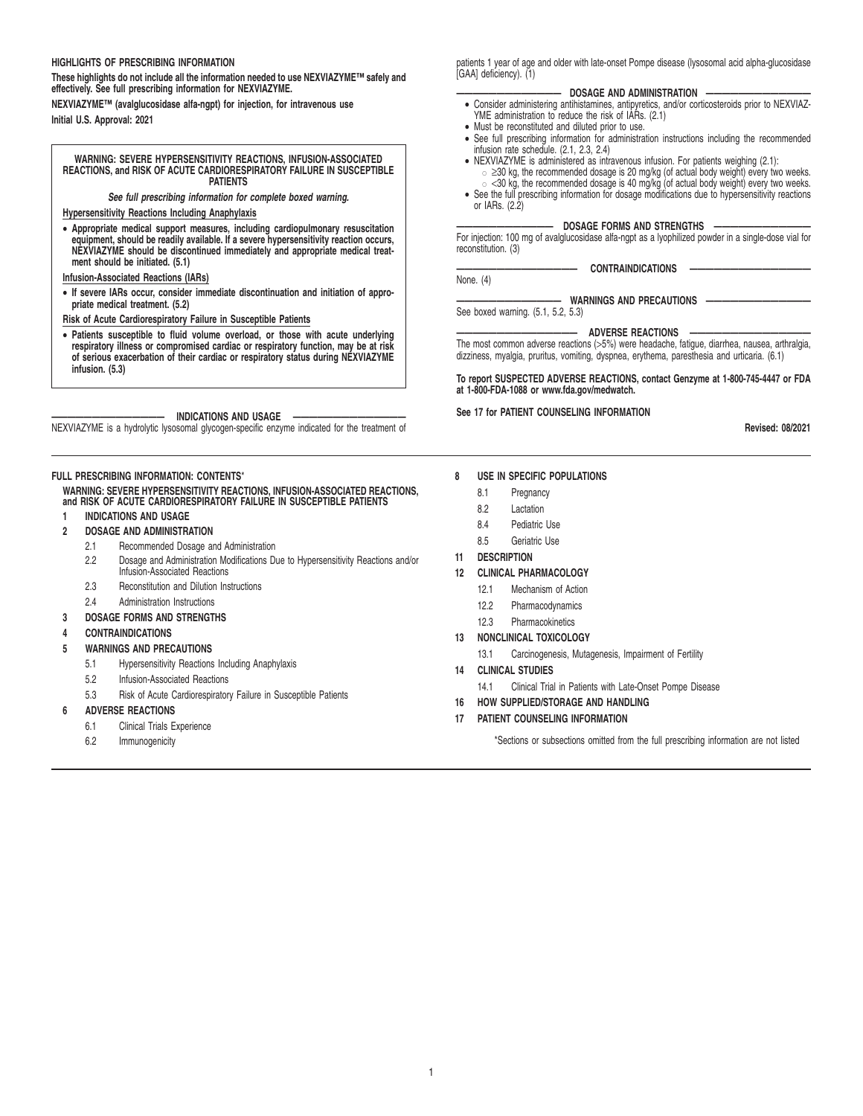# **HIGHLIGHTS OF PRESCRIBING INFORMATION**

**These highlights do not include all the information needed to use NEXVIAZYME™ safely and effectively. See full prescribing information for NEXVIAZYME.**

**NEXVIAZYME™ (avalglucosidase alfa-ngpt) for injection, for intravenous use Initial U.S. Approval: 2021**

**WARNING: SEVERE HYPERSENSITIVITY REACTIONS, INFUSION-ASSOCIATED REACTIONS, and RISK OF ACUTE CARDIORESPIRATORY FAILURE IN SUSCEPTIBLE PATIENTS**

**See full prescribing information for complete boxed warning.**

#### **Hypersensitivity Reactions Including Anaphylaxis**

Appropriate medical support measures, including cardiopulmonary resuscitation<br>equipment, should be readily available. If a severe hypersensitivity reaction occurs,<br>NEXVIAZYME should be discontinued immediately and appropri **ment should be initiated. (5.1)**

#### **Infusion-Associated Reactions (IARs)**

• **If severe IARs occur, consider immediate discontinuation and initiation of appropriate medical treatment. (5.2)**

**Risk of Acute Cardiorespiratory Failure in Susceptible Patients**

- **Patients susceptible to fluid volume overload, or those with acute underlying respiratory illness or compromised cardiac or respiratory function, may be at risk of serious exacerbation of their cardiac or respiratory status during NEXVIAZYME infusion. (5.3)**
	- **INDICATIONS AND USAGE**

NEXVIAZYME is a hydrolytic lysosomal glycogen-specific enzyme indicated for the treatment of

#### **FULL PRESCRIBING INFORMATION: CONTENTS**\*

### **WARNING: SEVERE HYPERSENSITIVITY REACTIONS, INFUSION-ASSOCIATED REACTIONS, and RISK OF ACUTE CARDIORESPIRATORY FAILURE IN SUSCEPTIBLE PATIENTS**

**1 INDICATIONS AND USAGE**

# **2 DOSAGE AND ADMINISTRATION**

- 2.1 Recommended Dosage and Administration
- 2.2 Dosage and Administration Modifications Due to Hypersensitivity Reactions and/or Infusion-Associated Reactions
- 2.3 Reconstitution and Dilution Instructions
- 2.4 Administration Instructions
- **3 DOSAGE FORMS AND STRENGTHS**
- **4 CONTRAINDICATIONS**
- **5 WARNINGS AND PRECAUTIONS**
	- 5.1 Hypersensitivity Reactions Including Anaphylaxis
	- 5.2 Infusion-Associated Reactions
	- 5.3 Risk of Acute Cardiorespiratory Failure in Susceptible Patients

#### **6 ADVERSE REACTIONS**

- 6.1 Clinical Trials Experience
- 6.2 Immunogenicity

patients 1 year of age and older with late-onset Pompe disease (lysosomal acid alpha-glucosidase [GAA] deficiency). (1)

- **————————————— DOSAGE AND ADMINISTRATION —————————————** Consider administering antihistamines, antipyretics, and/or corticosteroids prior to NEXVIAZ-YME administration to reduce the risk of IARs. (2.1)
- Must be reconstituted and diluted prior to use.
- See full prescribing information for administration instructions including the recommended infusion rate schedule. (2.1, 2.3, 2.4)
- 
- NEXVIAZYME is administered as intravenous infusion. For patients weighing (2.1):<br>  $\circ$  230 kg, the recommended dosage is 20 mg/kg (of actual body weight) every two weeks.<br>  $\circ$  <30 kg, the recommended dosage is 40 mg/kg
	- DOSAGE FORMS AND STRENGTHS

For injection: 100 mg of avalglucosidase alfa-ngpt as a lyophilized powder in a single-dose vial for reconstitution. (3) CONTRAINDICATIONS

None. (4)

 $-$  WARNINGS AND PRECAUTIONS  $-$ 

See boxed warning. (5.1, 5.2, 5.3)

# **ADVERSE REACTIONS**

The most common adverse reactions (>5%) were headache, fatigue, diarrhea, nausea, arthralgia, dizziness, myalgia, pruritus, vomiting, dyspnea, erythema, paresthesia and urticaria. (6.1)

**To report SUSPECTED ADVERSE REACTIONS, contact Genzyme at 1-800-745-4447 or FDA at 1-800-FDA-1088 or www.fda.gov/medwatch.**

**See 17 for PATIENT COUNSELING INFORMATION**

**Revised: 08/2021**

#### **8 USE IN SPECIFIC POPULATIONS**

- 8.1 Pregnancy
- 8.2 Lactation
- 8.4 Pediatric Use
- 8.5 Geriatric Use
- **11 DESCRIPTION**
- **12 CLINICAL PHARMACOLOGY**
	- 12.1 Mechanism of Action
	- 12.2 Pharmacodynamics
	- 12.3 Pharmacokinetics
- **13 NONCLINICAL TOXICOLOGY**
	- 13.1 Carcinogenesis, Mutagenesis, Impairment of Fertility

#### **14 CLINICAL STUDIES**

- 14.1 Clinical Trial in Patients with Late-Onset Pompe Disease
- **16 HOW SUPPLIED/STORAGE AND HANDLING**
- **17 PATIENT COUNSELING INFORMATION**

\*Sections or subsections omitted from the full prescribing information are not listed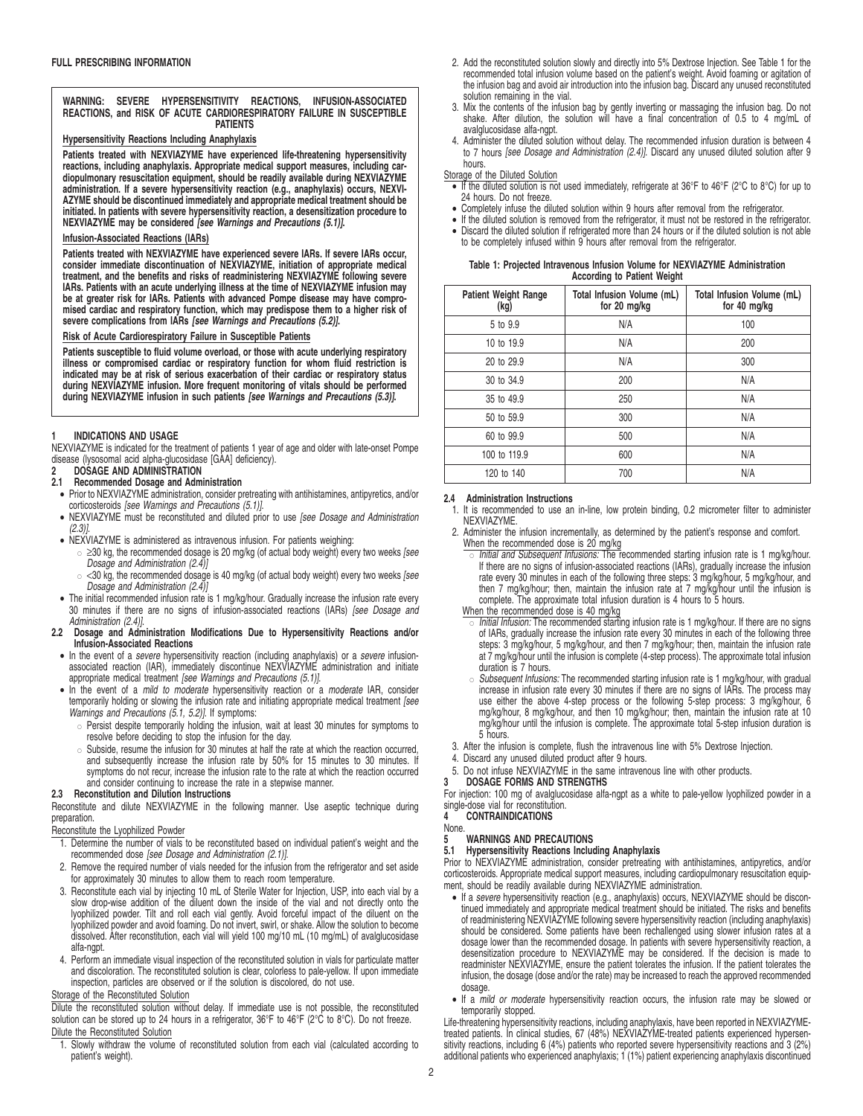#### **WARNING: SEVERE HYPERSENSITIVITY REACTIONS, INFUSION-ASSOCIATED REACTIONS, and RISK OF ACUTE CARDIORESPIRATORY FAILURE IN SUSCEPTIBLE PATIENTS**

# **Hypersensitivity Reactions Including Anaphylaxis**

**Patients treated with NEXVIAZYME have experienced life-threatening hypersensitivity reactions, including anaphylaxis. Appropriate medical support measures, including cardiopulmonary resuscitation equipment, should be readily available during NEXVIAZYME administration. If a severe hypersensitivity reaction (e.g., anaphylaxis) occurs, NEXVI-AZYME should be discontinued immediately and appropriate medical treatment should be initiated. In patients with severe hypersensitivity reaction, a desensitization procedure to NEXVIAZYME may be considered [see Warnings and Precautions (5.1)].**

# **Infusion-Associated Reactions (IARs)**

**Patients treated with NEXVIAZYME have experienced severe IARs. If severe IARs occur, consider immediate discontinuation of NEXVIAZYME, initiation of appropriate medical treatment, and the benefits and risks of readministering NEXVIAZYME following severe IARs. Patients with an acute underlying illness at the time of NEXVIAZYME infusion may be at greater risk for IARs. Patients with advanced Pompe disease may have compromised cardiac and respiratory function, which may predispose them to a higher risk of severe complications from IARs [see Warnings and Precautions (5.2)].**

#### **Risk of Acute Cardiorespiratory Failure in Susceptible Patients**

**Patients susceptible to fluid volume overload, or those with acute underlying respiratory illness or compromised cardiac or respiratory function for whom fluid restriction is indicated may be at risk of serious exacerbation of their cardiac or respiratory status during NEXVIAZYME infusion. More frequent monitoring of vitals should be performed during NEXVIAZYME infusion in such patients [see Warnings and Precautions (5.3)].**

## **1 INDICATIONS AND USAGE**

NEXVIAZYME is indicated for the treatment of patients 1 year of age and older with late-onset Pompe disease (lysosomal acid alpha-glucosidase [GAA] deficiency). **2 DOSAGE AND ADMINISTRATION**

- **2.1 Recommended Dosage and Administration**
- Prior to NEXVIAZYME administration, consider pretreating with antihistamines, antipyretics, and/or corticosteroids [see Warnings and Precautions (5.1)].
- NEXVIAZYME must be reconstituted and diluted prior to use [see Dosage and Administration  $(2.3)$
- NEXVIAZYME is administered as intravenous infusion. For patients weighing:
- o ≥30 kg, the recommended dosage is 20 mg/kg (of actual body weight) every two weeks [see Dosage and Administration (2.4)]
- <30 kg, the recommended dosage is 40 mg/kg (of actual body weight) every two weeks [see Dosage and Administration (2.4)]
- The initial recommended infusion rate is 1 mg/kg/hour. Gradually increase the infusion rate every 30 minutes if there are no signs of infusion-associated reactions (IARs) [see Dosage and Administration (2.4)].
- **2.2 Dosage and Administration Modifications Due to Hypersensitivity Reactions and/or Infusion-Associated Reactions**
- In the event of a *severe* hypersensitivity reaction (including anaphylaxis) or a *severe* infusion-<br>associated reaction (IAR), immediately discontinue NEXVIAZYME administration and initiate<br>appropriate medical treatment
- In the event of a *mild to moderate* hypersensitivity reaction or a *moderate* IAR, consider temporarily holding or slowing the infusion rate and initiating appropriate medical treatment [see Warnings and Precautions (5.1, 5.2)]. If symptoms:
	- $\circ$  Persist despite temporarily holding the infusion, wait at least 30 minutes for symptoms to resolve before deciding to stop the infusion for the day.
- $\circ$  Subside, resume the infusion for 30 minutes at half the rate at which the reaction occurred, and subsequently increase the infusion rate by 50% for 15 minutes to 30 minutes. If symptoms do not recur, increase the infusion rate to the rate at which the reaction occurred and consider continuing to increase the rate in a stepwise manner. **2.3 Reconstitution and Dilution Instructions**

Reconstitute and dilute NEXVIAZYME in the following manner. Use aseptic technique during preparation.

# Reconstitute the Lyophilized Powder

- 1. Determine the number of vials to be reconstituted based on individual patient's weight and the recommended dose [see Dosage and Administration (2.1)].
- 2. Remove the required number of vials needed for the infusion from the refrigerator and set aside for approximately 30 minutes to allow them to reach room temperature.
- 3. Reconstitute each vial by injecting 10 mL of Sterile Water for Injection, USP, into each vial by a slow drop-wise addition of the diluent down the inside of the vial and not directly onto the lyophilized powder. Tilt and roll each vial gently. Avoid forceful impact of the diluent on the lyophilized powder and avoid foaming. Do not invert, swirl, or shake. Allow the solution to become dissolved. After reconstitution, each vial will yield 100 mg/10 mL (10 mg/mL) of avalglucosidase alfa-ngpt.
- 4. Perform an immediate visual inspection of the reconstituted solution in vials for particulate matter and discoloration. The reconstituted solution is clear, colorless to pale-yellow. If upon immediate inspection, particles are observed or if the solution is discolored, do not use.

# Storage of the Reconstituted Solution

Dilute the reconstituted solution without delay. If immediate use is not possible, the reconstituted solution can be stored up to 24 hours in a refrigerator, 36°F to 46°F (2°C to 8°C). Do not freeze. Dilute the Reconstituted Solution

1. Slowly withdraw the volume of reconstituted solution from each vial (calculated according to patient's weight).

- 2. Add the reconstituted solution slowly and directly into 5% Dextrose Injection. See Table 1 for the recommended total infusion volume based on the patient's weight. Avoid foaming or agitation of the infusion bag and avoid air introduction into the infusion bag. Discard any unused reconstituted solution remaining in the vial.
- 3. Mix the contents of the infusion bag by gently inverting or massaging the infusion bag. Do not shake. After dilution, the solution will have a final concentration of 0.5 to 4 mg/mL of avalglucosidase alfa-ngpt.
- 4. Administer the diluted solution without delay. The recommended infusion duration is between 4 to 7 hours [see Dosage and Administration (2.4)]. Discard any unused diluted solution after 9 hours.

### Storage of the Diluted Solution

- If the diluted solution is not used immediately, refrigerate at 36°F to 46°F (2°C to 8°C) for up to 24 hours. Do not freeze.
- Completely infuse the diluted solution within 9 hours after removal from the refrigerator.
- If the diluted solution is removed from the refrigerator, it must not be restored in the refrigerator. Discard the diluted solution if refrigerated more than 24 hours or if the diluted solution is not able to be completely infused within 9 hours after removal from the refrigerator.

| Table 1: Projected Intravenous Infusion Volume for NEXVIAZYME Administration |  |  |
|------------------------------------------------------------------------------|--|--|
| <b>According to Patient Weight</b>                                           |  |  |

| <b>Patient Weight Range</b><br>(kg) | Total Infusion Volume (mL)<br>for 20 mg/kg | Total Infusion Volume (mL)<br>for 40 mg/kg |
|-------------------------------------|--------------------------------------------|--------------------------------------------|
| 5 to 9.9                            | N/A                                        | 100                                        |
| 10 to 19.9                          | N/A                                        | 200                                        |
| 20 to 29.9                          | N/A                                        | 300                                        |
| 30 to 34.9                          | 200                                        | N/A                                        |
| 35 to 49.9                          | 250                                        | N/A                                        |
| 50 to 59.9                          | 300                                        | N/A                                        |
| 60 to 99.9                          | 500                                        | N/A                                        |
| 100 to 119.9                        | 600                                        | N/A                                        |
| 120 to 140                          | 700                                        | N/A                                        |

#### **2.4 Administration Instructions**

- 1. It is recommended to use an in-line, low protein binding, 0.2 micrometer filter to administer NEXVIAZYME.
- 2. Administer the infusion incrementally, as determined by the patient's response and comfort.
	- When the recommended dose is 20 mg/kg<br>  $\overline{\phantom{a}}$  initial and Subsequent Infusions: The recommended starting infusion rate is 1 mg/kg/hour.<br>
	If there are no signs of infusion-associated reactions (IARs), gradually increa rate every 30 minutes in each of the following three steps: 3 mg/kg/hour, 5 mg/kg/hour, and then 7 mg/kg/hour; then, maintain the infusion rate at 7 mg/kg/hour until the infusion is complete. The approximate total infusion duration is 4 hours to 5 hours.

# When the recommended dose is 40 mg/kg

- $\circ$  Initial Infusion: The recommended starting infusion rate is 1 mg/kg/hour. If there are no signs of IARs, gradually increase the infusion rate every 30 minutes in each of the following three steps: 3 mg/kg/hour, 5 mg/ duration is 7 hours.
- Subsequent Infusions: The recommended starting infusion rate is 1 mg/kg/hour, with gradual increase in infusion rate every 30 minutes if there are no signs of IARs. The process may use either the above 4-step process or the following 5-step process: 3 mg/kg/hour, 6 mg/kg/hour, 8 mg/kg/hour, and then 10 mg/kg/hour; then, maintain the infusion rate at 10 mg/kg/hour until the infusion is complete. The approximate total 5-step infusion duration is 5 hours.
- 3. After the infusion is complete, flush the intravenous line with 5% Dextrose Injection.
- 4. Discard any unused diluted product after 9 hours.
- 5. Do not infuse NEXVIAZYME in the same intravenous line with other products.

### **3 DOSAGE FORMS AND STRENGTHS**

For injection: 100 mg of avalglucosidase alfa-ngpt as a white to pale-yellow lyophilized powder in a single-dose vial for reconstitution.

**4 CONTRAINDICATIONS** None.

#### **5 WARNINGS AND PRECAUTIONS 5.1 Hypersensitivity Reactions Including Anaphylaxis**

Prior to NEXVIAZYME administration, consider pretreating with antihistamines, antipyretics, and/or corticosteroids. Appropriate medical support measures, including cardiopulmonary resuscitation equip-<br>ment, should be readily available during NEXVIAZYME administration.

- If a severe hypersensitivity reaction (e.g., anaphylaxis) occurs, NEXVIAZYME should be discon-tinued immediately and appropriate medical treatment should be initiated. The risks and benefits of readministering NEXVIAZYME following severe hypersensitivity reaction (including anaphylaxis) should be considered. Some patients have been rechallenged using slower infusion rates at a<br>dosage lower than the recommended dosage. In patients with severe hypersensitivity reaction, a<br>desensitization procedure to NEXVIA infusion, the dosage (dose and/or the rate) may be increased to reach the approved recommended dosage.
- If a mild or moderate hypersensitivity reaction occurs, the infusion rate may be slowed or temporarily stopped.

Life-threatening hypersensitivity reactions, including anaphylaxis, have been reported in NEXVIAZYME-treated patients. In clinical studies, 67 (48%) NEXVIAZYME-treated patients experienced hypersensitivity reactions, including 6 (4%) patients who reported severe hypersensitivity reactions and 3 (2%) additional patients who experienced anaphylaxis; 1 (1%) patient experiencing anaphylaxis discontinued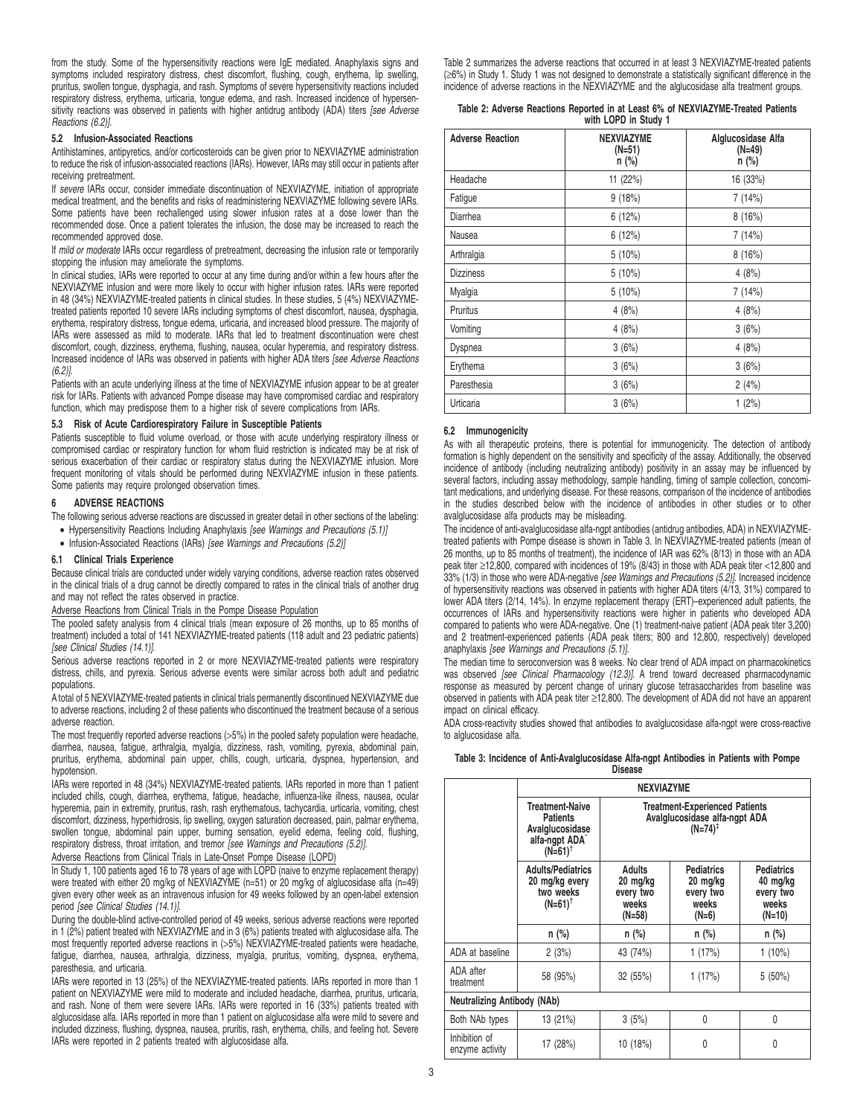from the study. Some of the hypersensitivity reactions were IgE mediated. Anaphylaxis signs and symptoms included respiratory distress, chest discomfort, flushing, cough, erythema, lip swelling, pruritus, swollen tongue, dysphagia, and rash. Symptoms of severe hypersensitivity reactions included respiratory distress, erythema, urticaria, tongue edema, and rash. Increased incidence of hypersensitivity reactions was observed in patients with higher antidrug antibody (ADA) titers [see Adverse Reactions (6.2)].

# **5.2 Infusion-Associated Reactions**

Antihistamines, antipyretics, and/or corticosteroids can be given prior to NEXVIAZYME administration to reduce the risk of infusion-associated reactions (IARs). However, IARs may still occur in patients after receiving pretreatment.

If severe IARs occur, consider immediate discontinuation of NEXVIAZYME, initiation of appropriate medical treatment, and the benefits and risks of readministering NEXVIAZYME following severe IARs. Some patients have been rechallenged using slower infusion rates at a dose lower than the recommended dose. Once a patient tolerates the infusion, the dose may be increased to reach the recommended approved dose.

If mild or moderate IARs occur regardless of pretreatment, decreasing the infusion rate or temporarily stopping the infusion may ameliorate the symptoms.

In clinical studies, IARs were reported to occur at any time during and/or within a few hours after the NEXVIAZYME infusion and were more likely to occur with higher infusion rates. IARs were reported in 48 (34%) NEXVIAZYME-treated patients in clinical studies. In these studies, 5 (4%) NEXVIAZYMEtreated patients reported 10 severe IARs including symptoms of chest discomfort, nausea, dysphagia, erythema, respiratory distress, tongue edema, urticaria, and increased blood pressure. The majority of IARs were assessed as mild to moderate. IARs that led to treatment discontinuation were chest discomfort, cough, dizziness, erythema, flushing, nausea, ocular hyperemia, and respiratory distress. Increased incidence of IARs was observed in patients with higher ADA titers [see Adverse Reactions (6.2)].

Patients with an acute underlying illness at the time of NEXVIAZYME infusion appear to be at greater risk for IARs. Patients with advanced Pompe disease may have compromised cardiac and respiratory function, which may predispose them to a higher risk of severe complications from IARs.

#### **5.3 Risk of Acute Cardiorespiratory Failure in Susceptible Patients**

Patients susceptible to fluid volume overload, or those with acute underlying respiratory illness or compromised cardiac or respiratory function for whom fluid restriction is indicated may be at risk of serious exacerbation of their cardiac or respiratory status during the NEXVIAZYME infusion. More frequent monitoring of vitals should be performed during NEXVIAZYME infusion in these patients. Some patients may require prolonged observation times.

# **6 ADVERSE REACTIONS**

The following serious adverse reactions are discussed in greater detail in other sections of the labeling:

- Hypersensitivity Reactions Including Anaphylaxis [see Warnings and Precautions (5.1)]
- Infusion-Associated Reactions (IARs) [see Warnings and Precautions (5.2)]

#### **6.1 Clinical Trials Experience**

Because clinical trials are conducted under widely varying conditions, adverse reaction rates observed in the clinical trials of a drug cannot be directly compared to rates in the clinical trials of another drug and may not reflect the rates observed in practice.

Adverse Reactions from Clinical Trials in the Pompe Disease Population

The pooled safety analysis from 4 clinical trials (mean exposure of 26 months, up to 85 months of treatment) included a total of 141 NEXVIAZYME-treated patients (118 adult and 23 pediatric patients) [see Clinical Studies (14.1)].

Serious adverse reactions reported in 2 or more NEXVIAZYME-treated patients were respiratory distress, chills, and pyrexia. Serious adverse events were similar across both adult and pediatric populations.

A total of 5 NEXVIAZYME-treated patients in clinical trials permanently discontinued NEXVIAZYME due to adverse reactions, including 2 of these patients who discontinued the treatment because of a serious adverse reaction.

The most frequently reported adverse reactions (>5%) in the pooled safety population were headache, diarrhea, nausea, fatigue, arthralgia, myalgia, dizziness, rash, vomiting, pyrexia, abdominal pain, pruritus, erythema, abdominal pain upper, chills, cough, urticaria, dyspnea, hypertension, and hypotension.

IARs were reported in 48 (34%) NEXVIAZYME-treated patients. IARs reported in more than 1 patient included chills, cough, diarrhea, erythema, fatigue, headache, influenza-like illness, nausea, ocular hyperemia, pain in extremity, pruritus, rash, rash erythematous, tachycardia, urticaria, vomiting, chest discomfort, dizziness, hyperhidrosis, lip swelling, oxygen saturation decreased, pain, palmar erythema, swollen tongue, abdominal pain upper, burning sensation, eyelid edema, feeling cold, flushing, respiratory distress, throat irritation, and tremor [see Warnings and Precautions (5.2)].

Adverse Reactions from Clinical Trials in Late-Onset Pompe Disease (LOPD)

In Study 1, 100 patients aged 16 to 78 years of age with LOPD (naive to enzyme replacement therapy) were treated with either 20 mg/kg of NEXVIAZYME (n=51) or 20 mg/kg of alglucosidase alfa (n=49) given every other week as an intravenous infusion for 49 weeks followed by an open-label extension period [see Clinical Studies (14.1)].

During the double-blind active-controlled period of 49 weeks, serious adverse reactions were reported in 1 (2%) patient treated with NEXVIAZYME and in 3 (6%) patients treated with alglucosidase alfa. The most frequently reported adverse reactions in (>5%) NEXVIAZYME-treated patients were headache, fatigue, diarrhea, nausea, arthralgia, dizziness, myalgia, pruritus, vomiting, dyspnea, erythema, paresthesia, and urticaria.

IARs were reported in 13 (25%) of the NEXVIAZYME-treated patients. IARs reported in more than 1 patient on NEXVIAZYME were mild to moderate and included headache, diarrhea, pruritus, urticaria, and rash. None of them were severe IARs. IARs were reported in 16 (33%) patients treated with alglucosidase alfa. IARs reported in more than 1 patient on alglucosidase alfa were mild to severe and included dizziness, flushing, dyspnea, nausea, pruritis, rash, erythema, chills, and feeling hot. Severe IARs were reported in 2 patients treated with alglucosidase alfa.

Table 2 summarizes the adverse reactions that occurred in at least 3 NEXVIAZYME-treated patients (≥6%) in Study 1. Study 1 was not designed to demonstrate a statistically significant difference in the incidence of adverse reactions in the NEXVIAZYME and the alglucosidase alfa treatment groups.

**Table 2: Adverse Reactions Reported in at Least 6% of NEXVIAZYME-Treated Patients with LOPD in Study 1**

| <b>Adverse Reaction</b> | <b>NEXVIAZYME</b><br>(N=51)<br>$n(\%)$ | Alglucosidase Alfa<br>$(N=49)$<br>n(%) |
|-------------------------|----------------------------------------|----------------------------------------|
| Headache                | 11 $(22%)$                             | 16 (33%)                               |
| Fatigue                 | 9(18%)                                 | 7(14%)                                 |
| <b>Diarrhea</b>         | 6(12%)                                 | 8(16%)                                 |
| Nausea                  | 6(12%)                                 | 7(14%)                                 |
| Arthralgia              | $5(10\%)$                              | 8(16%)                                 |
| <b>Dizziness</b>        | $5(10\%)$                              | 4(8%)                                  |
| Myalgia                 | $5(10\%)$                              | 7 (14%)                                |
| Pruritus                | 4(8%)                                  | 4(8%)                                  |
| Vomiting                | 4(8%)                                  | 3(6%)                                  |
| Dyspnea                 | 3(6%)                                  | 4(8%)                                  |
| Erythema                | 3(6%)                                  | 3(6%)                                  |
| Paresthesia             | 3(6%)                                  | 2(4%)                                  |
| Urticaria               | 3(6%)                                  | 1(2%)                                  |

#### **6.2 Immunogenicity**

As with all therapeutic proteins, there is potential for immunogenicity. The detection of antibody formation is highly dependent on the sensitivity and specificity of the assay. Additionally, the observed incidence of antibody (including neutralizing antibody) positivity in an assay may be influenced by several factors, including assay methodology, sample handling, timing of sample collection, concomitant medications, and underlying disease. For these reasons, comparison of the incidence of antibodies in the studies described below with the incidence of antibodies in other studies or to other avalglucosidase alfa products may be misleading.

The incidence of anti-avalglucosidase alfa-ngpt antibodies (antidrug antibodies, ADA) in NEXVIAZYMEtreated patients with Pompe disease is shown in Table 3. In NEXVIAZYME-treated patients (mean of 26 months, up to 85 months of treatment), the incidence of IAR was 62% (8/13) in those with an ADA peak titer ≥12,800, compared with incidences of 19% (8/43) in those with ADA peak titer <12,800 and 33% (1/3) in those who were ADA-negative [see Warnings and Precautions (5.2)]. Increased incidence of hypersensitivity reactions was observed in patients with higher ADA titers (4/13, 31%) compared to lower ADA titers (2/14, 14%). In enzyme replacement therapy (ERT)–experienced adult patients, the occurrences of IARs and hypersensitivity reactions were higher in patients who developed ADA compared to patients who were ADA-negative. One (1) treatment-naive patient (ADA peak titer 3,200) and 2 treatment-experienced patients (ADA peak titers; 800 and 12,800, respectively) developed anaphylaxis [see Warnings and Precautions (5.1)].

The median time to seroconversion was 8 weeks. No clear trend of ADA impact on pharmacokinetics was observed [see Clinical Pharmacology (12.3)]. A trend toward decreased pharmacodynamic response as measured by percent change of urinary glucose tetrasaccharides from baseline was observed in patients with ADA peak titer ≥12,800. The development of ADA did not have an apparent impact on clinical efficacy.

ADA cross-reactivity studies showed that antibodies to avalglucosidase alfa-ngpt were cross-reactive to alglucosidase alfa.

| Table 3: Incidence of Anti-Avalglucosidase Alfa-ngpt Antibodies in Patients with Pompe |                |  |  |
|----------------------------------------------------------------------------------------|----------------|--|--|
|                                                                                        | <b>Disease</b> |  |  |

|                                    | NEXVIAZYME                                                                           |                                                                                                                                                                                           |         |           |  |
|------------------------------------|--------------------------------------------------------------------------------------|-------------------------------------------------------------------------------------------------------------------------------------------------------------------------------------------|---------|-----------|--|
|                                    | Treatment-Naive<br><b>Patients</b><br>Avalglucosidase<br>alfa-ngpt ADA<br>$(N=61)^+$ | <b>Treatment-Experienced Patients</b><br>Avalglucosidase alfa-ngpt ADA<br>$(N=74)^+$                                                                                                      |         |           |  |
|                                    | <b>Adults/Pediatrics</b><br>20 mg/kg every<br>two weeks<br>$(N=61)^+$                | Adults<br><b>Pediatrics</b><br><b>Pediatrics</b><br>20 mg/kg<br>20 mg/kg<br>40 mg/kg<br>every two<br>every two<br>every two<br>weeks<br>weeks<br>weeks<br>$(N=58)$<br>$(N=10)$<br>$(N=6)$ |         |           |  |
|                                    | n (%)                                                                                | n (%)                                                                                                                                                                                     | $n$ (%) | n (%)     |  |
| ADA at baseline                    | 2(3%)                                                                                | 43 (74%)                                                                                                                                                                                  | 1 (17%) | 1 (10%)   |  |
| ADA after<br>treatment             | 58 (95%)                                                                             | 32 (55%)                                                                                                                                                                                  | 1 (17%) | $5(50\%)$ |  |
| <b>Neutralizing Antibody (NAb)</b> |                                                                                      |                                                                                                                                                                                           |         |           |  |
| Both NAb types                     | 13 (21%)                                                                             | 3(5%)                                                                                                                                                                                     | 0       | 0         |  |
| Inhibition of<br>enzyme activity   | 17 (28%)                                                                             | 10 (18%)                                                                                                                                                                                  | 0       | 0         |  |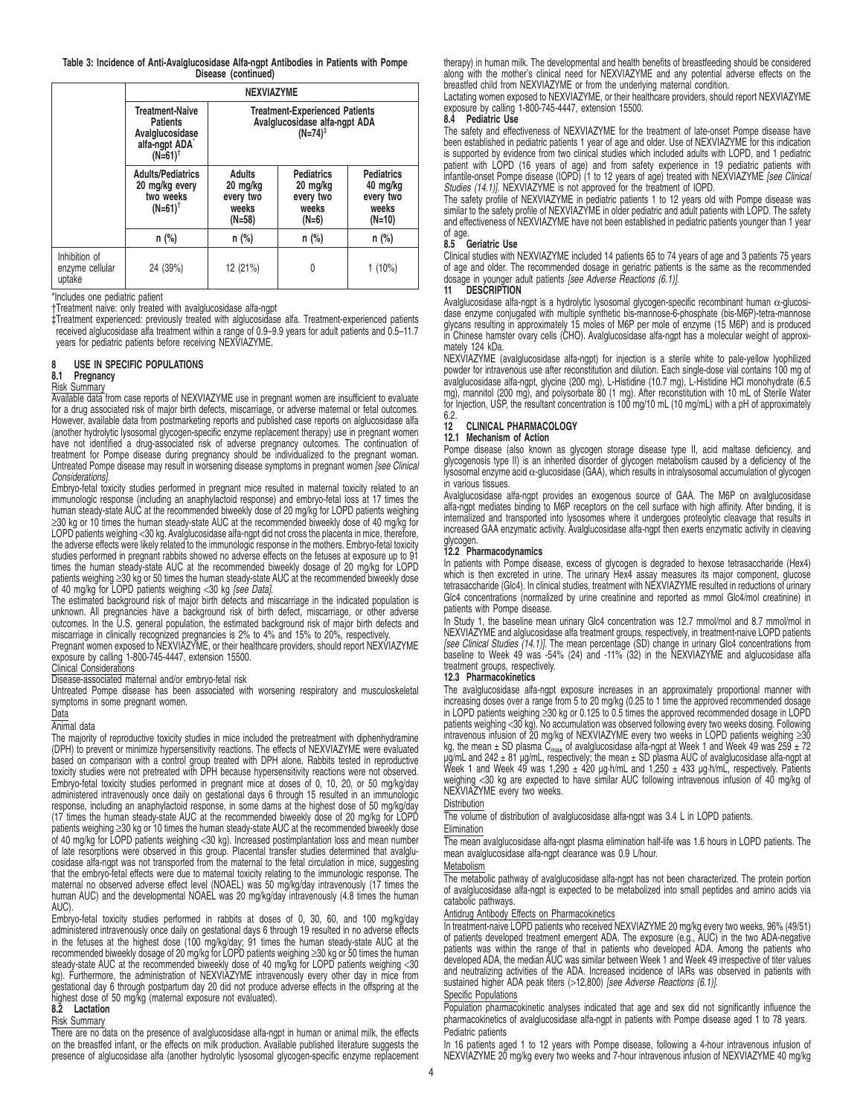#### **Table 3: Incidence of Anti-Avalglucosidase Alfa-ngpt Antibodies in Patients with Pompe Disease (continued)**

|                                            |                                                                                             | <b>NEXVIAZYME</b>                                                                                                           |       |                                                                 |  |  |  |
|--------------------------------------------|---------------------------------------------------------------------------------------------|-----------------------------------------------------------------------------------------------------------------------------|-------|-----------------------------------------------------------------|--|--|--|
|                                            | <b>Treatment-Naive</b><br><b>Patients</b><br>Avalglucosidase<br>alfa-ngpt ADA<br>$(N=61)^+$ | <b>Treatment-Experienced Patients</b><br>Avalglucosidase alfa-ngpt ADA<br>$(N=74)^+$                                        |       |                                                                 |  |  |  |
|                                            | <b>Adults/Pediatrics</b><br>20 mg/kg every<br>two weeks<br>$(N=61)^+$                       | <b>Adults</b><br><b>Pediatrics</b><br>20 mg/kg<br>20 mg/kg<br>every two<br>every two<br>weeks<br>weeks<br>(N=58)<br>$(N=6)$ |       | <b>Pediatrics</b><br>40 mg/kg<br>every two<br>weeks<br>$(N=10)$ |  |  |  |
|                                            | $n$ (%)                                                                                     | $n$ (%)                                                                                                                     | n (%) | n (%)                                                           |  |  |  |
| Inhibition of<br>enzyme cellular<br>uptake | 24 (39%)                                                                                    | 12 (21%)                                                                                                                    | 0     | 1 (10%)                                                         |  |  |  |

\*Includes one pediatric patient

†Treatment naive: only treated with avalglucosidase alfa-ngpt

‡Treatment experienced: previously treated with alglucosidase alfa. Treatment-experienced patients received alglucosidase alfa treatment within a range of 0.9–9.9 years for adult patients and 0.5–11.7 years for pediatric patients before receiving NEXVIAZYME.

### **8 USE IN SPECIFIC POPULATIONS**

#### **8.1 Pregnancy** Risk Summary

Available data from case reports of NEXVIAZYME use in pregnant women are insufficient to evaluate for a drug associated risk of major birth defects, miscarriage, or adverse maternal or fetal outcomes. However, available data from postmarketing reports and published case reports on alglucosidase alfa (another hydrolytic lysosomal glycogen-specific enzyme replacement therapy) use in pregnant women have not identified a drug-associated risk of adverse pregnancy outcomes. The continuation of treatment for Pompe disease during pregnancy should be individualized to the pregnant woman. Untreated Pompe disease may result in worsening disease symptoms in pregnant women [see Clinical Considerations].

Embryo-fetal toxicity studies performed in pregnant mice resulted in maternal toxicity related to an<br>immunologic response (including an anaphylactoid response) and embryo-fetal loss at 17 times the<br>human steady-state AUC a ≥30 kg or 10 times the human steady-state AUC at the recommended biweekly dose of 40 mg/kg for LOPD patients weighing <30 kg. Avalglucosidase alfa-ngpt did not cross the placenta in mice, therefore, the adverse effects were likely related to the immunologic response in the mothers. Embryo-fetal toxicity studies performed in pregnant rabbits showed no adverse effects on the fetuses at exposure up to 91 times the human steady-state AUC at the recommended biweekly dosage of 20 mg/kg for LOPD patients weighing ≥30 kg or 50 times the human steady-state AUC at the recommended biweekly dose of 40 mg/kg for LOPD patients weighing <30 kg *[see Data].*<br>The estimated background risk of major birth defects and miscarriage in the indicated population is

unknown. All pregnancies have a background risk of birth defect, miscarriage, or other adverse outcomes. In the U.S. general population, the estimated background risk of major birth defects and

miscarriage in clinically recognized pregnancies is 2% to 4% and 15% to 20%, respectively. Pregnant women exposed to NEXVIAZYME, or their healthcare providers, should report NEXVIAZYME exposure by calling 1-800-745-4447, extension 15500.

#### Clinical Considerations

Disease-associated maternal and/or embryo-fetal risk

Untreated Pompe disease has been associated with worsening respiratory and musculoskeletal symptoms in some pregnant women.

# Data

Animal data

The majority of reproductive toxicity studies in mice included the pretreatment with diphenhydramine (DPH) to prevent or minimize hypersensitivity reactions. The effects of NEXVIAZYME were evaluated<br>based on comparison with a control group treated with DPH alone. Rabbits tested in reproductive<br>toxicity studies were not pr Embryo-fetal toxicity studies performed in pregnant mice at doses of 0, 10, 20, or 50 mg/kg/day administered intravenously once daily on gestational days 6 through 15 resulted in an immunologic response, including an anaphylactoid response, in some dams at the highest dose of 50 mg/kg/day (17 times the human steady-state AUC at the recommended biweekly dose of 20 mg/kg for LOPD patients weighing ≥30 kg or 10 times the human steady-state AUC at the recommended biweekly dose of 40 mg/kg for LOPD patients weighing <30 kg). Increased postimplantation loss and mean number of late resorptions were observed in this group. Placental transfer studies determined that avalglucosidase alfa-ngpt was not transported from the maternal to the fetal circulation in mice, suggesting that the embryo-fetal effects were due to maternal toxicity relating to the immunologic response. The maternal no observed adverse effect level (NOAEL) was 50 mg/kg/day intravenously (17 times the human AUC) and the developmental NOAEL was 20 mg/kg/day intravenously (4.8 times the human AUC).

Embryo-fetal toxicity studies performed in rabbits at doses of 0, 30, 60, and 100 mg/kg/day administered intravenously once daily on gestational days 6 through 19 resulted in no adverse effects in the fetuses at the highest dose (100 mg/kg/day; 91 times the human steady-state AUC at the<br>recommended biweekly dosage of 20 mg/kg for LOPD patients weighing ≥30 kg or 50 times the human<br>steady-state AUC at the recomme kg). Furthermore, the administration of NEXVIAZYME intravenously every other day in mice from gestational day 6 through postpartum day 20 did not produce adverse effects in the offspring at the highest dose of 50 mg/kg (maternal exposure not evaluated).

# **8.2 Lactation**

# Risk Summary

There are no data on the presence of avalglucosidase alfa-ngpt in human or animal milk, the effects on the breastfed infant, or the effects on milk production. Available published literature suggests the presence of alglucosidase alfa (another hydrolytic lysosomal glycogen-specific enzyme replacement

therapy) in human milk. The developmental and health benefits of breastfeeding should be considered along with the mother's clinical need for NEXVIAZYME and any potential adverse effects on the breastfed child from NEXVIAZYME or from the underlying maternal condition.

Lactating women exposed to NEXVIAZYME, or their healthcare providers, should report NEXVIAZYME exposure by calling 1-800-745-4447, extension 15500.

## **8.4 Pediatric Use**

The safety and effectiveness of NEXVIAZYME for the treatment of late-onset Pompe disease have been established in pediatric patients 1 year of age and older. Use of NEXVIAZYME for this indication is supported by evidence from two clinical studies which included adults with LOPD, and 1 pediatric patient with LOPD (16 years of age) and from safety experience in 19 pediatric patients with<br>infantile-onset Pompe disease (IOPD) (1 to 12 years of age) treated with NEXVIAZYME *[see Clinical* Studies (14.1)]. NEXVIAZYME is not approved for the treatment of IOPD.

The safety profile of NEXVIAZYME in pediatric patients 1 to 12 years old with Pompe disease was similar to the safety profile of NEXVIAZYME in older pediatric and adult patients with LOPD. The safety and effectiveness of NEXVIAZYME have not been established in pediatric patients younger than 1 year of age.

#### **8.5 Geriatric Use**

Clinical studies with NEXVIAZYME included 14 patients 65 to 74 years of age and 3 patients 75 years of age and older. The recommended dosage in geriatric patients is the same as the recommended dosage in younger adult patients [see Adverse Reactions (6.1)].

## **11 DESCRIPTION**

Avalglucosidase alfa-ngpt is a hydrolytic lysosomal glycogen-specific recombinant human α-glucosi-dase enzyme conjugated with multiple synthetic bis-mannose-6-phosphate (bis-M6P)-tetra-mannose glycans resulting in approximately 15 moles of M6P per mole of enzyme (15 M6P) and is produced in Chinese hamster ovary cells (CHO). Avalglucosidase alfa-ngpt has a molecular weight of approximately 124 kDa.

NEXVIAZYME (avalglucosidase alfa-ngpt) for injection is a sterile white to pale-yellow lyophilized powder for intravenous use after reconstitution and dilution. Each single-dose vial contains 100 mg of avalglucosidase alfa-ngpt, glycine (200 mg), L-Histidine (10.7 mg), L-Histidine HCl monohydrate (6.5 mg), mannitol (200 mg), and polysorbate 80 (1 mg). After reconstitution with 10 mL of Sterile Water for Injection, USP, the resultant concentration is 100 mg/10 mL (10 mg/mL) with a pH of approximately  $6.2.$ <br>12

# **12 CLINICAL PHARMACOLOGY**

### **12.1 Mechanism of Action**

Pompe disease (also known as glycogen storage disease type II, acid maltase deficiency, and glycogenosis type II) is an inherited disorder of glycogen metabolism caused by a deficiency of the lysosomal enzyme acid α-glucosidase (GAA), which results in intralysosomal accumulation of glycogen in various tissues.

Avalglucosidase alfa-ngpt provides an exogenous source of GAA. The M6P on avalglucosidase alfa-ngpt mediates binding to M6P receptors on the cell surface with high affinity. After binding, it is internalized and transported into lysosomes where it undergoes proteolytic cleavage that results in increased GAA enzymatic activity. Avalglucosidase alfa-ngpt then exerts enzymatic activity in cleaving

# glycogen. **12.2 Pharmacodynamics**

In patients with Pompe disease, excess of glycogen is degraded to hexose tetrasaccharide (Hex4) which is then excreted in urine. The urinary Hex4 assay measures its major component, glucose tetrasaccharide (Glc4). In clinical studies, treatment with NEXVIAZYME resulted in reductions of urinary Glc4 concentrations (normalized by urine creatinine and reported as mmol Glc4/mol creatinine) in patients with Pompe disease.

In Study 1, the baseline mean urinary Glc4 concentration was 12.7 mmol/mol and 8.7 mmol/mol in NEXVIAZYME and alglucosidase alfa treatment groups, respectively, in treatment-naive LOPD patients [see Clinical Studies (14.1)]. The mean percentage (SD) change in urinary Glc4 concentrations from baseline to Week 49 was -54% (24) and -11% (32) in the NEXVIAZYME and alglucosidase alfa treatment groups, respectively.

#### **12.3 Pharmacokinetics**

The avalglucosidase alfa-ngpt exposure increases in an approximately proportional manner with<br>increasing doses over a range from 5 to 20 mg/kg (0.25 to 1 time the approved recommended dosage<br>in LOPD patients weighing ≥30 patients weighing <30 kg). No accumulation was observed following every two weeks dosing. Following<br>intravenous infusion of 20 mg/kg of NEXVIAZYME every two weeks in LOPD patients weighing ≥30 kg, the mean  $\pm$  SD plasma  $\widetilde{C}_{\rm max}$  of avalglucosidase alfa-ngpt at Week 1 and Week 49 was 259  $\pm$  72 µg/mL and 242 ± 81 µg/mL, respectively; the mean ± SD plasma AUC of avalglucosidase alfa-ngpt at Week 1 and Week 49 was 1,290 ± 420 µg·h/mL and 1,250 ± 433 µg·h/mL, respectively. Patients weighing <30 kg are expected to have similar AUC following intravenous infusion of 40 mg/kg of NEXVIAZYME every two weeks.

# Distribution

The volume of distribution of avalglucosidase alfa-ngpt was 3.4 L in LOPD patients.

#### Elimination

The mean avalglucosidase alfa-ngpt plasma elimination half-life was 1.6 hours in LOPD patients. The mean avalglucosidase alfa-ngpt clearance was 0.9 L/hour.

### **Metabolism**

The metabolic pathway of avalglucosidase alfa-ngpt has not been characterized. The protein portion of avalglucosidase alfa-ngpt is expected to be metabolized into small peptides and amino acids via catabolic pathways.

#### Antidrug Antibody Effects on Pharmacokinetics

In treatment-naive LOPD patients who received NEXVIAZYME 20 mg/kg every two weeks, 96% (49/51) of patients developed treatment emergent ADA. The exposure (e.g., AUC) in the two ADA-negative patients was within the range of that in patients who developed ADA. Among the patients who developed ADA, the median AUC was similar between Week 1 and Week 49 irrespective of titer values and neutralizing activities of the ADA. Increased incidence of IARs was observed in patients with sustained higher ADA peak titers (>12,800) [see Adverse Reactions (6.1)].

# Specific Populations

Population pharmacokinetic analyses indicated that age and sex did not significantly influence the pharmacokinetics of avalglucosidase alfa-ngpt in patients with Pompe disease aged 1 to 78 years. Pediatric patients

In 16 patients aged 1 to 12 years with Pompe disease, following a 4-hour intravenous infusion of NEXVIAZYME 20 mg/kg every two weeks and 7-hour intravenous infusion of NEXVIAZYME 40 mg/kg